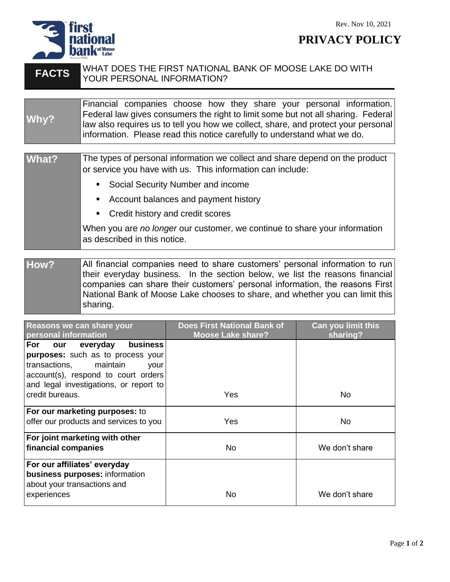

sharing.

**PRIVACY POLICY** 

## **FACTS** WHAT DOES THE FIRST NATIONAL BANK OF MOOSE LAKE DO WITH YOUR PERSONAL INFORMATION? **Why?** Financial companies choose how they share your personal information. Federal law gives consumers the right to limit some but not all sharing. Federal law also requires us to tell you how we collect, share, and protect your personal information. Please read this notice carefully to understand what we do. **What?** The types of personal information we collect and share depend on the product or service you have with us. This information can include: ■ Social Security Number and income ■ Account balances and payment history ■ Credit history and credit scores When you are *no longer* our customer, we continue to share your information as described in this notice. **How?** All financial companies need to share customers' personal information to run their everyday business. In the section below, we list the reasons financial companies can share their customers' personal information, the reasons First National Bank of Moose Lake chooses to share, and whether you can limit this

**Reasons we can share your personal information Does First National Bank of Moose Lake share? Can you limit this sharing? For our everyday business purposes:** such as to process your transactions, maintain your account(s), respond to court orders and legal investigations, or report to credit bureaus. The North State of the North State of the North State of the North State of the North State of **For our marketing purposes:** to offer our products and services to you | Yes | No **For joint marketing with other financial companies**  $\qquad \qquad \qquad$  No  $\qquad \qquad \qquad$  We don't share **For our affiliates' everyday business purposes:** information about your transactions and experiences and the state of the No No No No We don't share